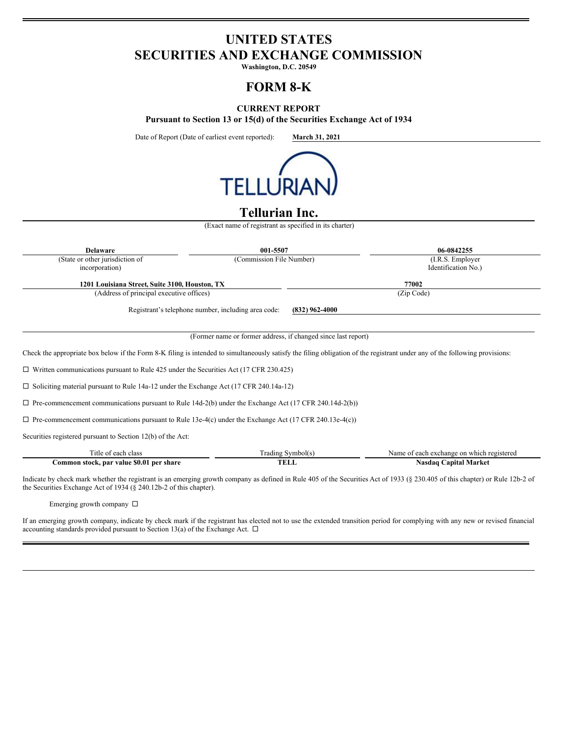# **UNITED STATES SECURITIES AND EXCHANGE COMMISSION**

**Washington, D.C. 20549**

## **FORM 8-K**

### **CURRENT REPORT**

**Pursuant to Section 13 or 15(d) of the Securities Exchange Act of 1934**

Date of Report (Date of earliest event reported): **March 31, 2021**



### **Tellurian Inc.**

(Exact name of registrant as specified in its charter)

| <b>Delaware</b>                                                                                                                                                             | 001-5507                                                      |                                           | 06-0842255 |  |
|-----------------------------------------------------------------------------------------------------------------------------------------------------------------------------|---------------------------------------------------------------|-------------------------------------------|------------|--|
| (State or other jurisdiction of<br>incorporation)                                                                                                                           | (Commission File Number)                                      | (I.R.S. Employer<br>Identification No.)   |            |  |
|                                                                                                                                                                             |                                                               |                                           |            |  |
| 1201 Louisiana Street, Suite 3100, Houston, TX                                                                                                                              |                                                               | 77002                                     |            |  |
| (Address of principal executive offices)                                                                                                                                    |                                                               | (Zip Code)                                |            |  |
|                                                                                                                                                                             | Registrant's telephone number, including area code:           | $(832)$ 962-4000                          |            |  |
|                                                                                                                                                                             | (Former name or former address, if changed since last report) |                                           |            |  |
| Check the appropriate box below if the Form 8-K filing is intended to simultaneously satisfy the filing obligation of the registrant under any of the following provisions: |                                                               |                                           |            |  |
| $\Box$ Written communications pursuant to Rule 425 under the Securities Act (17 CFR 230.425)                                                                                |                                                               |                                           |            |  |
| $\Box$ Soliciting material pursuant to Rule 14a-12 under the Exchange Act (17 CFR 240.14a-12)                                                                               |                                                               |                                           |            |  |
| $\Box$ Pre-commencement communications pursuant to Rule 14d-2(b) under the Exchange Act (17 CFR 240.14d-2(b))                                                               |                                                               |                                           |            |  |
| $\Box$ Pre-commencement communications pursuant to Rule 13e-4(c) under the Exchange Act (17 CFR 240.13e-4(c))                                                               |                                                               |                                           |            |  |
| Securities registered pursuant to Section 12(b) of the Act:                                                                                                                 |                                                               |                                           |            |  |
|                                                                                                                                                                             | Trading Symbol(s)                                             | Name of each exchange on which registered |            |  |
| Title of each class                                                                                                                                                         |                                                               |                                           |            |  |

Indicate by check mark whether the registrant is an emerging growth company as defined in Rule 405 of the Securities Act of 1933 (§ 230.405 of this chapter) or Rule 12b-2 of the Securities Exchange Act of 1934 (§ 240.12b-2 of this chapter).

Emerging growth company  $\,\Box\,$ 

If an emerging growth company, indicate by check mark if the registrant has elected not to use the extended transition period for complying with any new or revised financial accounting standards provided pursuant to Section 13(a) of the Exchange Act.  $\Box$